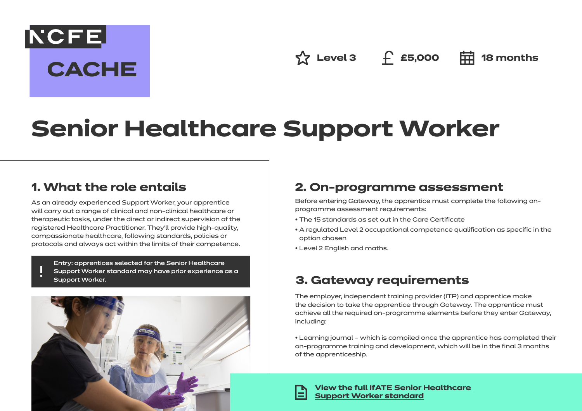**NCFE CACHE** 

**☆ Level 3** ← £5,000 **中 18 months** 

# **Senior Healthcare Support Worker**

# **1. What the role entails**

As an already experienced Support Worker, your apprentice will carry out a range of clinical and non-clinical healthcare or therapeutic tasks, under the direct or indirect supervision of the registered Healthcare Practitioner. They'll provide high-quality, compassionate healthcare, following standards, policies or protocols and always act within the limits of their competence.

Entry: apprentices selected for the Senior Healthcare Support Worker standard may have prior experience as a Support Worker.



# **2. On-programme assessment**

Before entering Gateway, the apprentice must complete the following onprogramme assessment requirements:

- The 15 standards as set out in the Care Certificate
- A regulated Level 2 occupational competence qualification as specific in the option chosen
- Level 2 English and maths.

## **3. Gateway requirements**

The employer, independent training provider (ITP) and apprentice make the decision to take the apprentice through Gateway. The apprentice must achieve all the required on-programme elements before they enter Gateway, including:

• Learning journal – which is compiled once the apprentice has completed their on-programme training and development, which will be in the final 3 months of the apprenticeship.



**[View the full IfATE Senior Healthcare](https://www.instituteforapprenticeships.org/apprenticeship-standards/healthcare-assistant-practitioner/)  [Support Worker standard](https://www.instituteforapprenticeships.org/apprenticeship-standards/senior-healthcare-support-worker/)**